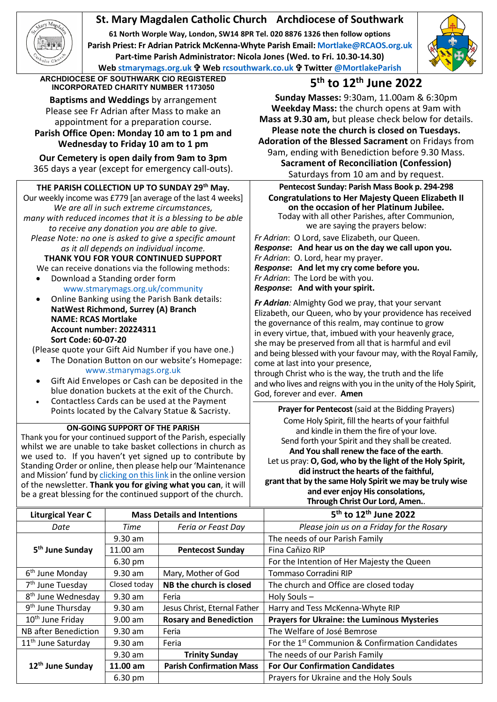# **St. Mary Magdalen Catholic Church Archdiocese of Southwark**

**61 North Worple Way, London, SW14 8PR Tel. 020 8876 1326 then follow options Parish Priest: Fr Adrian Patrick McKenna-Whyte Parish Email[: Mortlake@RCAOS.org.uk](mailto:Mortlake@RCAOS.org.uk) Part-time Parish Administrator: Nicola Jones (Wed. to Fri. 10.30-14.30) Web [stmarymags.org.uk](http://www.stmarymags.org.uk/) Web [rcsouthwark.co.uk](http://www.rcsouthwark.co.uk/) Twitter [@MortlakeParish](https://twitter.com/@mortlakeparish)**



**ARCHDIOCESE OF SOUTHWARK CIO REGISTERED INCORPORATED CHARITY NUMBER 1173050 5th to 12th June 2022**

**Baptisms and Weddings** by arrangement Please see Fr Adrian after Mass to make an appointment for a preparation course. **Parish Office Open: Monday 10 am to 1 pm and**

**Wednesday to Friday 10 am to 1 pm Our Cemetery is open daily from 9am to 3pm**

365 days a year (except for emergency call-outs).

## **THE PARISH COLLECTION UP TO SUNDAY 29th May.**

Our weekly income was £779 [an average of the last 4 weeks] *We are all in such extreme circumstances, many with reduced incomes that it is a blessing to be able to receive any donation you are able to give. Please Note: no one is asked to give a specific amount as it all depends on individual income.*

**THANK YOU FOR YOUR CONTINUED SUPPORT** We can receive donations via the following methods:

- Download a Standing order form [www.stmarymags.org.uk/community](http://www.stmarymags.org.uk/community)
- Online Banking using the Parish Bank details: **NatWest Richmond, Surrey (A) Branch NAME: RCAS Mortlake Account number: 20224311 Sort Code: 60-07-20**
- (Please quote your Gift Aid Number if you have one.)
- The Donation Button on our website's Homepage: [www.stmarymags.org.uk](http://www.stmarymags.org.uk/)
- Gift Aid Envelopes or Cash can be deposited in the blue donation buckets at the exit of the Church.
- Contactless Cards can be used at the Payment Points located by the Calvary Statue & Sacristy.

### **ON-GOING SUPPORT OF THE PARISH**

Thank you for your continued support of the Parish, especially whilst we are unable to take basket collections in church as we used to. If you haven't yet signed up to contribute by Standing Order or online, then please help our 'Maintenance and Mission' fund b[y clicking on this link](https://givealittle.co/campaigns/0d894f95-a502-418f-a98b-07a2dc349c74) in the online version of the newsletter. **Thank you for giving what you can**, it will be a great blessing for the continued support of the church.

**Sunday Masses:** 9:30am, 11.00am & 6:30pm **Weekday Mass:** the church opens at 9am with **Mass at 9.30 am,** but please check below for details. **Please note the church is closed on Tuesdays. Adoration of the Blessed Sacrament** on Fridays from 9am, ending with Benediction before 9.30 Mass. **Sacrament of Reconciliation (Confession)**

Saturdays from 10 am and by request. **Pentecost Sunday: Parish Mass Book p. 294-298**

**Congratulations to Her Majesty Queen Elizabeth II on the occasion of her Platinum Jubilee.** Today with all other Parishes, after Communion, we are saying the prayers below:

*Fr Adrian*: O Lord, save Elizabeth, our Queen. *Response***: And hear us on the day we call upon you.** *Fr Adrian*: O. Lord, hear my prayer. *Response***: And let my cry come before you.** *Fr Adrian*: The Lord be with you. *Response***: And with your spirit.**

*Fr Adrian:* Almighty God we pray, that your servant Elizabeth, our Queen, who by your providence has received the governance of this realm, may continue to grow in every virtue, that, imbued with your heavenly grace, she may be preserved from all that is harmful and evil and being blessed with your favour may, with the Royal Family, come at last into your presence,

through Christ who is the way, the truth and the life and who lives and reigns with you in the unity of the Holy Spirit, God, forever and ever. **Amen**

**Prayer for Pentecost** (said at the Bidding Prayers) Come Holy Spirit, fill the hearts of your faithful and kindle in them the fire of your love. Send forth your Spirit and they shall be created. **And You shall renew the face of the earth**. Let us pray: **O, God, who by the light of the Holy Spirit, did instruct the hearts of the faithful, grant that by the same Holy Spirit we may be truly wise and ever enjoy His consolations,** 

**Through Christ Our Lord, Amen.**.

| <b>Liturgical Year C</b>       | <b>Mass Details and Intentions</b> |                                 | 5 <sup>th</sup> to 12 <sup>th</sup> June 2022               |
|--------------------------------|------------------------------------|---------------------------------|-------------------------------------------------------------|
| Date                           | Time                               | Feria or Feast Day              | Please join us on a Friday for the Rosary                   |
| 5 <sup>th</sup> June Sunday    | $9.30$ am                          |                                 | The needs of our Parish Family                              |
|                                | 11.00 am                           | <b>Pentecost Sunday</b>         | Fina Caňizo RIP                                             |
|                                | 6.30 pm                            |                                 | For the Intention of Her Majesty the Queen                  |
| 6 <sup>th</sup> June Monday    | $9.30$ am                          | Mary, Mother of God             | Tommaso Corradini RIP                                       |
| 7 <sup>th</sup> June Tuesday   | Closed today                       | NB the church is closed         | The church and Office are closed today                      |
| 8 <sup>th</sup> June Wednesday | $9.30$ am                          | Feria                           | Holy Souls-                                                 |
| 9 <sup>th</sup> June Thursday  | $9.30$ am                          | Jesus Christ, Eternal Father    | Harry and Tess McKenna-Whyte RIP                            |
| 10 <sup>th</sup> June Friday   | $9.00$ am                          | <b>Rosary and Benediction</b>   | <b>Prayers for Ukraine: the Luminous Mysteries</b>          |
| NB after Benediction           | $9.30$ am                          | Feria                           | The Welfare of José Bemrose                                 |
| 11 <sup>th</sup> June Saturday | $9.30$ am                          | Feria                           | For the 1 <sup>st</sup> Communion & Confirmation Candidates |
| 12 <sup>th</sup> June Sunday   | $9.30$ am                          | <b>Trinity Sunday</b>           | The needs of our Parish Family                              |
|                                | $11.00$ am                         | <b>Parish Confirmation Mass</b> | <b>For Our Confirmation Candidates</b>                      |
|                                | 6.30 pm                            |                                 | Prayers for Ukraine and the Holy Souls                      |